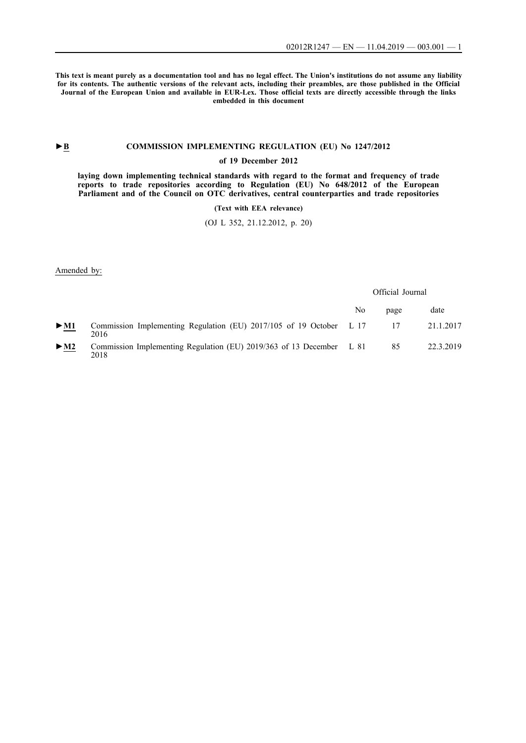**This text is meant purely as a documentation tool and has no legal effect. The Union's institutions do not assume any liability for its contents. The authentic versions of the relevant acts, including their preambles, are those published in the Official Journal of the European Union and available in EUR-Lex. Those official texts are directly accessible through the links embedded in this document**

## ►**B [COMMISSION IMPLEMENTING REGULATION \(EU\) No 1247/2012](http://data.europa.eu/eli/reg_impl/2012/1247/oj/eng)**

## **[of 19 December 2012](http://data.europa.eu/eli/reg_impl/2012/1247/oj/eng)**

**[laying down implementing technical standards with regard to the format and frequency of trade](http://data.europa.eu/eli/reg_impl/2012/1247/oj/eng) [reports to trade repositories according to Regulation \(EU\) No 648/2012 of the European](http://data.europa.eu/eli/reg_impl/2012/1247/oj/eng) [Parliament and of the Council on OTC derivatives, central counterparties and trade repositories](http://data.europa.eu/eli/reg_impl/2012/1247/oj/eng)**

**[\(Text with EEA relevance\)](http://data.europa.eu/eli/reg_impl/2012/1247/oj/eng)**

[\(OJ L 352, 21.12.2012, p. 20\)](http://data.europa.eu/eli/reg_impl/2012/1247/oj/eng)

Amended by:

|                            |                                                                              |    | Official Journal |           |
|----------------------------|------------------------------------------------------------------------------|----|------------------|-----------|
|                            |                                                                              | No | page             | date      |
| $\triangleright$ <u>M1</u> | Commission Implementing Regulation (EU) 2017/105 of 19 October L 17<br>2016  |    |                  | 21.1.2017 |
| $\triangleright$ <u>M2</u> | Commission Implementing Regulation (EU) 2019/363 of 13 December L 81<br>2018 |    | 85               | 22.3.2019 |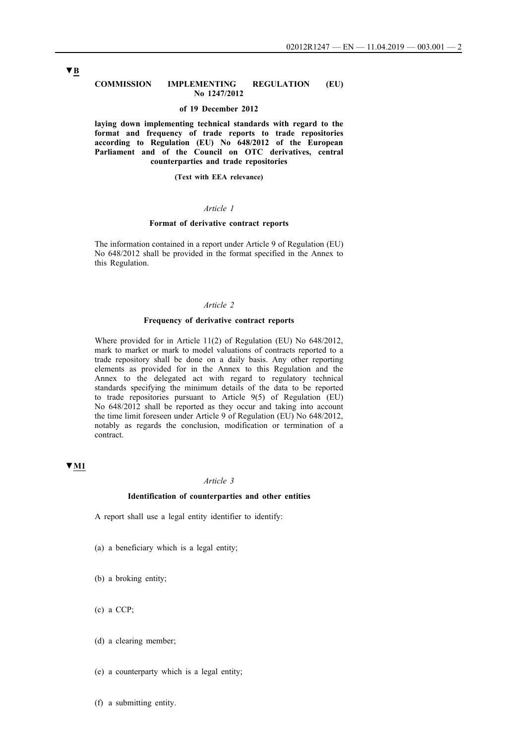#### **COMMISSION IMPLEMENTING REGULATION (EU) No 1247/2012**

#### **of 19 December 2012**

**laying down implementing technical standards with regard to the format and frequency of trade reports to trade repositories according to Regulation (EU) No 648/2012 of the European Parliament and of the Council on OTC derivatives, central counterparties and trade repositories**

#### **(Text with EEA relevance)**

## *Article 1*

#### **Format of derivative contract reports**

The information contained in a report under Article 9 of Regulation (EU) No 648/2012 shall be provided in the format specified in the Annex to this Regulation.

### *Article 2*

#### **Frequency of derivative contract reports**

Where provided for in Article 11(2) of Regulation (EU) No 648/2012, mark to market or mark to model valuations of contracts reported to a trade repository shall be done on a daily basis. Any other reporting elements as provided for in the Annex to this Regulation and the Annex to the delegated act with regard to regulatory technical standards specifying the minimum details of the data to be reported to trade repositories pursuant to Article 9(5) of Regulation (EU) No 648/2012 shall be reported as they occur and taking into account the time limit foreseen under Article 9 of Regulation (EU) No 648/2012, notably as regards the conclusion, modification or termination of a contract.

## **▼M1**

### *Article 3*

### **Identification of counterparties and other entities**

A report shall use a legal entity identifier to identify:

- (a) a beneficiary which is a legal entity;
- (b) a broking entity;
- (c) a CCP;
- (d) a clearing member;
- (e) a counterparty which is a legal entity;

(f) a submitting entity.

## **▼B**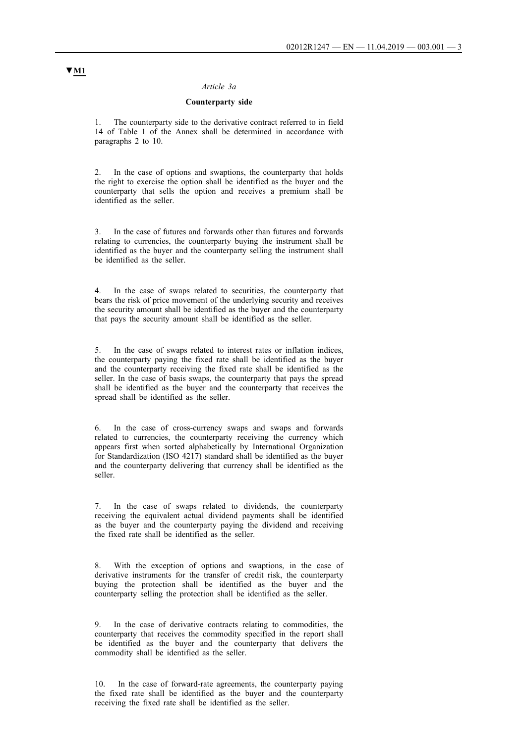#### *Article 3a*

## **Counterparty side**

1. The counterparty side to the derivative contract referred to in field 14 of Table 1 of the Annex shall be determined in accordance with paragraphs 2 to 10.

2. In the case of options and swaptions, the counterparty that holds the right to exercise the option shall be identified as the buyer and the counterparty that sells the option and receives a premium shall be identified as the seller.

3. In the case of futures and forwards other than futures and forwards relating to currencies, the counterparty buying the instrument shall be identified as the buyer and the counterparty selling the instrument shall be identified as the seller.

4. In the case of swaps related to securities, the counterparty that bears the risk of price movement of the underlying security and receives the security amount shall be identified as the buyer and the counterparty that pays the security amount shall be identified as the seller.

5. In the case of swaps related to interest rates or inflation indices, the counterparty paying the fixed rate shall be identified as the buyer and the counterparty receiving the fixed rate shall be identified as the seller. In the case of basis swaps, the counterparty that pays the spread shall be identified as the buyer and the counterparty that receives the spread shall be identified as the seller.

6. In the case of cross-currency swaps and swaps and forwards related to currencies, the counterparty receiving the currency which appears first when sorted alphabetically by International Organization for Standardization (ISO 4217) standard shall be identified as the buyer and the counterparty delivering that currency shall be identified as the seller.

7. In the case of swaps related to dividends, the counterparty receiving the equivalent actual dividend payments shall be identified as the buyer and the counterparty paying the dividend and receiving the fixed rate shall be identified as the seller.

8. With the exception of options and swaptions, in the case of derivative instruments for the transfer of credit risk, the counterparty buying the protection shall be identified as the buyer and the counterparty selling the protection shall be identified as the seller.

9. In the case of derivative contracts relating to commodities, the counterparty that receives the commodity specified in the report shall be identified as the buyer and the counterparty that delivers the commodity shall be identified as the seller.

10. In the case of forward-rate agreements, the counterparty paying the fixed rate shall be identified as the buyer and the counterparty receiving the fixed rate shall be identified as the seller.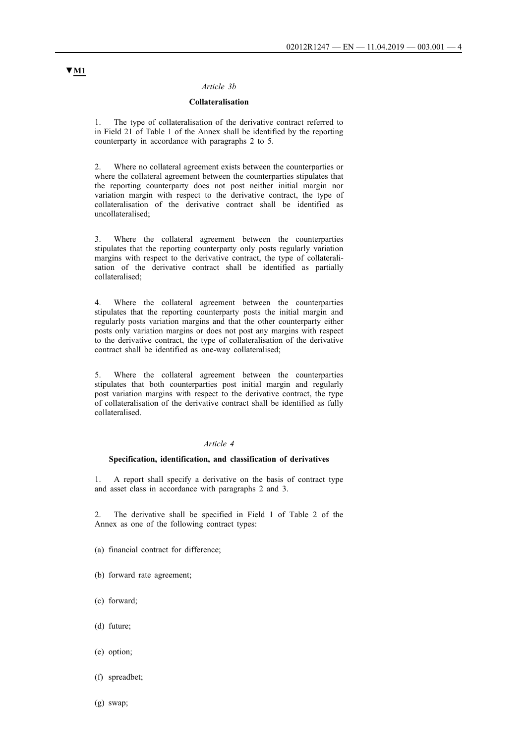#### *Article 3b*

## **Collateralisation**

1. The type of collateralisation of the derivative contract referred to in Field 21 of Table 1 of the Annex shall be identified by the reporting counterparty in accordance with paragraphs 2 to 5.

2. Where no collateral agreement exists between the counterparties or where the collateral agreement between the counterparties stipulates that the reporting counterparty does not post neither initial margin nor variation margin with respect to the derivative contract, the type of collateralisation of the derivative contract shall be identified as uncollateralised;

3. Where the collateral agreement between the counterparties stipulates that the reporting counterparty only posts regularly variation margins with respect to the derivative contract, the type of collateralisation of the derivative contract shall be identified as partially collateralised;

4. Where the collateral agreement between the counterparties stipulates that the reporting counterparty posts the initial margin and regularly posts variation margins and that the other counterparty either posts only variation margins or does not post any margins with respect to the derivative contract, the type of collateralisation of the derivative contract shall be identified as one-way collateralised;

5. Where the collateral agreement between the counterparties stipulates that both counterparties post initial margin and regularly post variation margins with respect to the derivative contract, the type of collateralisation of the derivative contract shall be identified as fully collateralised.

## *Article 4*

#### **Specification, identification, and classification of derivatives**

1. A report shall specify a derivative on the basis of contract type and asset class in accordance with paragraphs 2 and 3.

2. The derivative shall be specified in Field 1 of Table 2 of the Annex as one of the following contract types:

- (a) financial contract for difference;
- (b) forward rate agreement;
- (c) forward;
- (d) future;
- (e) option;
- (f) spreadbet;
- (g) swap;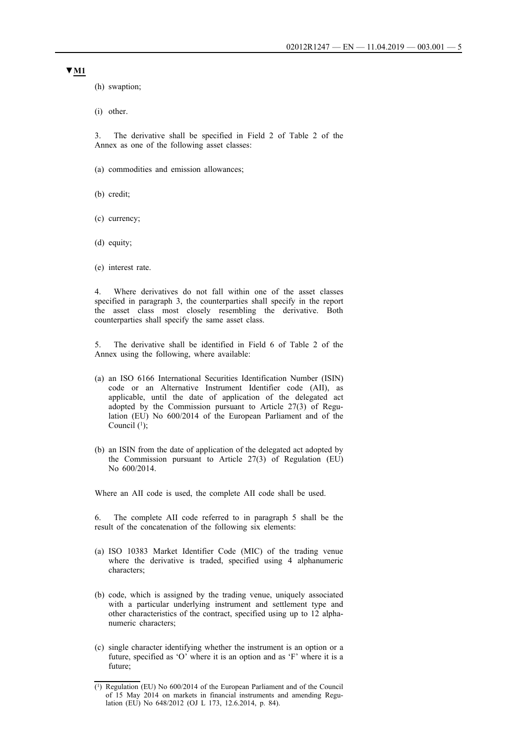(h) swaption;

(i) other.

3. The derivative shall be specified in Field 2 of Table 2 of the Annex as one of the following asset classes:

- (a) commodities and emission allowances;
- (b) credit;
- (c) currency;
- (d) equity;
- (e) interest rate.

4. Where derivatives do not fall within one of the asset classes specified in paragraph 3, the counterparties shall specify in the report the asset class most closely resembling the derivative. Both counterparties shall specify the same asset class.

5. The derivative shall be identified in Field 6 of Table 2 of the Annex using the following, where available:

- (a) an ISO 6166 International Securities Identification Number (ISIN) code or an Alternative Instrument Identifier code (AII), as applicable, until the date of application of the delegated act adopted by the Commission pursuant to Article 27(3) of Regulation (EU) No 600/2014 of the European Parliament and of the Council  $(1)$ ;
- (b) an ISIN from the date of application of the delegated act adopted by the Commission pursuant to Article 27(3) of Regulation (EU) No 600/2014.

Where an AII code is used, the complete AII code shall be used.

6. The complete AII code referred to in paragraph 5 shall be the result of the concatenation of the following six elements:

- (a) ISO 10383 Market Identifier Code (MIC) of the trading venue where the derivative is traded, specified using 4 alphanumeric characters;
- (b) code, which is assigned by the trading venue, uniquely associated with a particular underlying instrument and settlement type and other characteristics of the contract, specified using up to 12 alphanumeric characters;
- (c) single character identifying whether the instrument is an option or a future, specified as 'O' where it is an option and as 'F' where it is a future;

<sup>(1)</sup> Regulation (EU) No 600/2014 of the European Parliament and of the Council of 15 May 2014 on markets in financial instruments and amending Regulation (EU) No 648/2012 (OJ L 173, 12.6.2014, p. 84).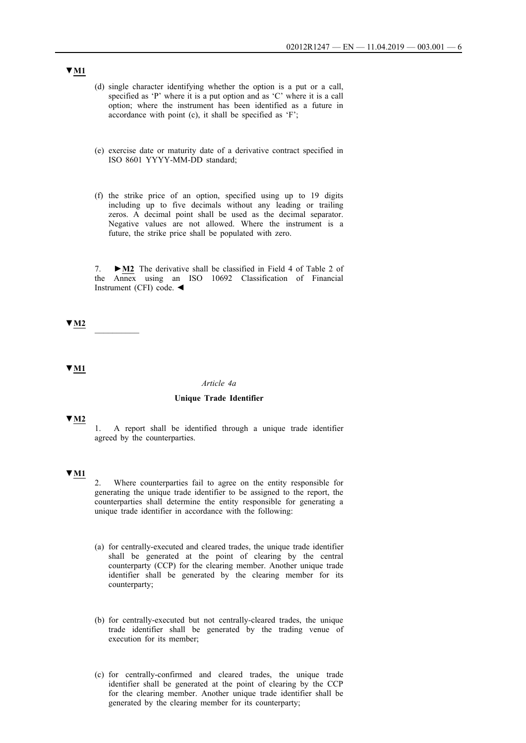- (d) single character identifying whether the option is a put or a call, specified as 'P' where it is a put option and as 'C' where it is a call option; where the instrument has been identified as a future in accordance with point (c), it shall be specified as 'F';
- (e) exercise date or maturity date of a derivative contract specified in ISO 8601 YYYY-MM-DD standard;
- (f) the strike price of an option, specified using up to 19 digits including up to five decimals without any leading or trailing zeros. A decimal point shall be used as the decimal separator. Negative values are not allowed. Where the instrument is a future, the strike price shall be populated with zero.

7. **►M2** The derivative shall be classified in Field 4 of Table 2 of the Annex using an ISO 10692 Classification of Financial Instrument (CFI) code. ◄

**▼M2** \_\_\_\_\_\_\_\_\_\_

**▼M1**

#### *Article 4a*

### **Unique Trade Identifier**

**▼M2**

1. A report shall be identified through a unique trade identifier agreed by the counterparties.

## **▼M1**

2. Where counterparties fail to agree on the entity responsible for generating the unique trade identifier to be assigned to the report, the counterparties shall determine the entity responsible for generating a unique trade identifier in accordance with the following:

- (a) for centrally-executed and cleared trades, the unique trade identifier shall be generated at the point of clearing by the central counterparty (CCP) for the clearing member. Another unique trade identifier shall be generated by the clearing member for its counterparty;
- (b) for centrally-executed but not centrally-cleared trades, the unique trade identifier shall be generated by the trading venue of execution for its member;
- (c) for centrally-confirmed and cleared trades, the unique trade identifier shall be generated at the point of clearing by the CCP for the clearing member. Another unique trade identifier shall be generated by the clearing member for its counterparty;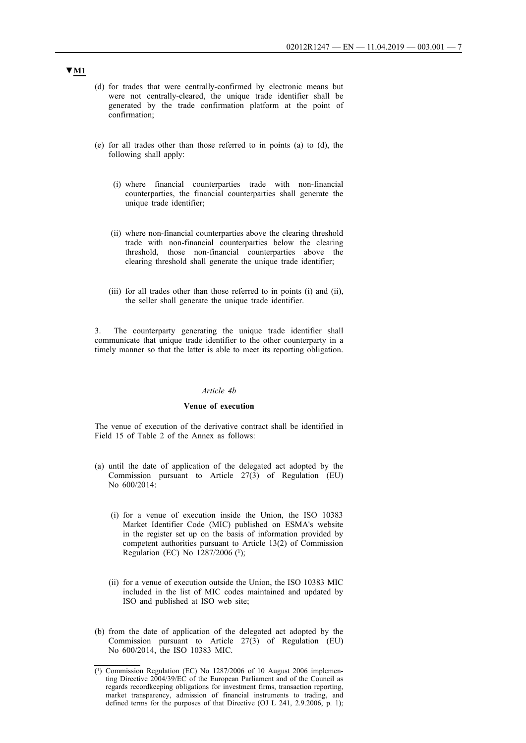- (d) for trades that were centrally-confirmed by electronic means but were not centrally-cleared, the unique trade identifier shall be generated by the trade confirmation platform at the point of confirmation;
- (e) for all trades other than those referred to in points (a) to (d), the following shall apply:
	- (i) where financial counterparties trade with non-financial counterparties, the financial counterparties shall generate the unique trade identifier;
	- (ii) where non-financial counterparties above the clearing threshold trade with non-financial counterparties below the clearing threshold, those non-financial counterparties above the clearing threshold shall generate the unique trade identifier;
	- (iii) for all trades other than those referred to in points (i) and (ii), the seller shall generate the unique trade identifier.

3. The counterparty generating the unique trade identifier shall communicate that unique trade identifier to the other counterparty in a timely manner so that the latter is able to meet its reporting obligation.

#### *Article 4b*

#### **Venue of execution**

The venue of execution of the derivative contract shall be identified in Field 15 of Table 2 of the Annex as follows:

- (a) until the date of application of the delegated act adopted by the Commission pursuant to Article 27(3) of Regulation (EU) No 600/2014:
	- (i) for a venue of execution inside the Union, the ISO 10383 Market Identifier Code (MIC) published on ESMA's website in the register set up on the basis of information provided by competent authorities pursuant to Article 13(2) of Commission Regulation (EC) No  $1287/2006$  (<sup>1</sup>);
	- (ii) for a venue of execution outside the Union, the ISO 10383 MIC included in the list of MIC codes maintained and updated by ISO and published at ISO web site;
- (b) from the date of application of the delegated act adopted by the Commission pursuant to Article 27(3) of Regulation (EU) No 600/2014, the ISO 10383 MIC.

<sup>(1)</sup> Commission Regulation (EC) No 1287/2006 of 10 August 2006 implementing Directive 2004/39/EC of the European Parliament and of the Council as regards recordkeeping obligations for investment firms, transaction reporting, market transparency, admission of financial instruments to trading, and defined terms for the purposes of that Directive (OJ L 241, 2.9.2006, p. 1);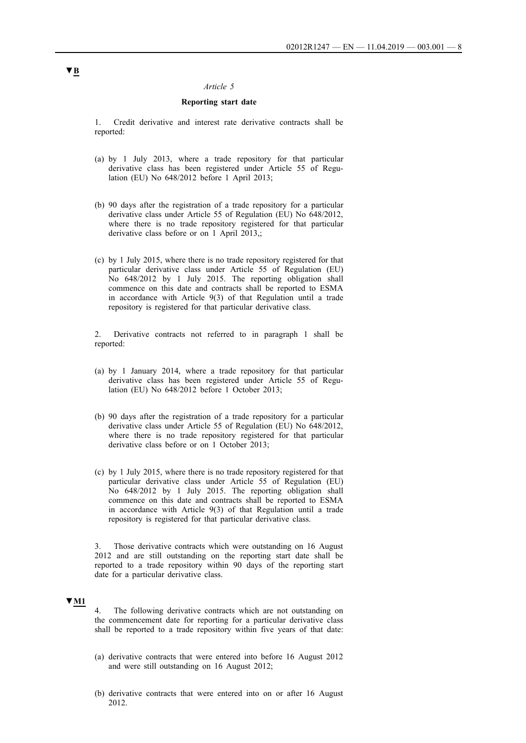### *Article 5*

### **Reporting start date**

1. Credit derivative and interest rate derivative contracts shall be reported:

- (a) by 1 July 2013, where a trade repository for that particular derivative class has been registered under Article 55 of Regulation (EU) No 648/2012 before 1 April 2013;
- (b) 90 days after the registration of a trade repository for a particular derivative class under Article 55 of Regulation (EU) No 648/2012, where there is no trade repository registered for that particular derivative class before or on 1 April 2013,;
- (c) by 1 July 2015, where there is no trade repository registered for that particular derivative class under Article 55 of Regulation (EU) No 648/2012 by 1 July 2015. The reporting obligation shall commence on this date and contracts shall be reported to ESMA in accordance with Article 9(3) of that Regulation until a trade repository is registered for that particular derivative class.

2. Derivative contracts not referred to in paragraph 1 shall be reported:

- (a) by 1 January 2014, where a trade repository for that particular derivative class has been registered under Article 55 of Regulation (EU) No 648/2012 before 1 October 2013;
- (b) 90 days after the registration of a trade repository for a particular derivative class under Article 55 of Regulation (EU) No 648/2012, where there is no trade repository registered for that particular derivative class before or on 1 October 2013;
- (c) by 1 July 2015, where there is no trade repository registered for that particular derivative class under Article 55 of Regulation (EU) No 648/2012 by 1 July 2015. The reporting obligation shall commence on this date and contracts shall be reported to ESMA in accordance with Article 9(3) of that Regulation until a trade repository is registered for that particular derivative class.

3. Those derivative contracts which were outstanding on 16 August 2012 and are still outstanding on the reporting start date shall be reported to a trade repository within 90 days of the reporting start date for a particular derivative class.

#### **▼M1**

4. The following derivative contracts which are not outstanding on the commencement date for reporting for a particular derivative class shall be reported to a trade repository within five years of that date:

- (a) derivative contracts that were entered into before 16 August 2012 and were still outstanding on 16 August 2012;
- (b) derivative contracts that were entered into on or after 16 August 2012.

# **▼B**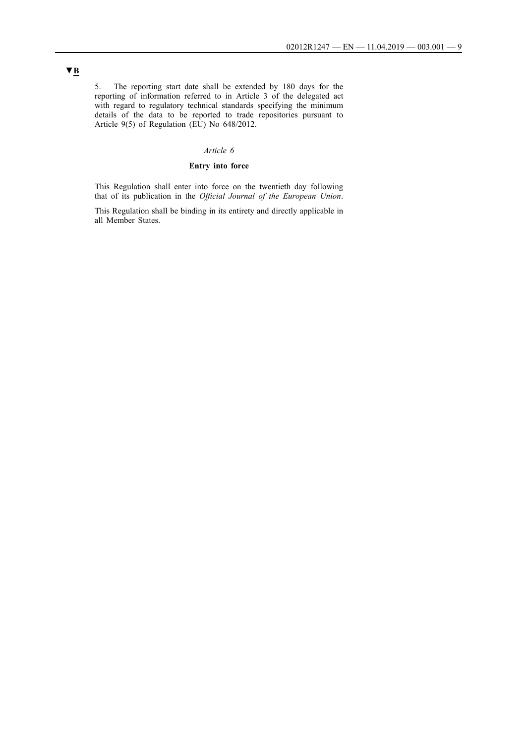5. The reporting start date shall be extended by 180 days for the reporting of information referred to in Article 3 of the delegated act with regard to regulatory technical standards specifying the minimum details of the data to be reported to trade repositories pursuant to Article 9(5) of Regulation (EU) No 648/2012.

## *Article 6*

## **Entry into force**

This Regulation shall enter into force on the twentieth day following that of its publication in the *Official Journal of the European Union*.

This Regulation shall be binding in its entirety and directly applicable in all Member States.

# **▼B**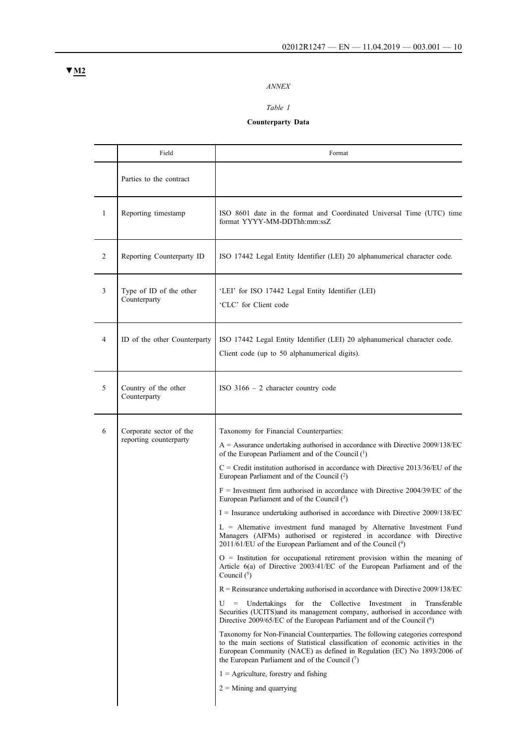# *ANNEX*

## *Table 1*

# **Counterparty Data**

|                | Field                                             | Format                                                                                                                                                                                                                                                                                                                                                                                                                                                                                                                                                                                                                                                                                                                                                                                                                                                                                                                                                                                                                                                                                                                                                                                                                                                                                                                                                                                                                                                                                                                                                                                                                                                                   |
|----------------|---------------------------------------------------|--------------------------------------------------------------------------------------------------------------------------------------------------------------------------------------------------------------------------------------------------------------------------------------------------------------------------------------------------------------------------------------------------------------------------------------------------------------------------------------------------------------------------------------------------------------------------------------------------------------------------------------------------------------------------------------------------------------------------------------------------------------------------------------------------------------------------------------------------------------------------------------------------------------------------------------------------------------------------------------------------------------------------------------------------------------------------------------------------------------------------------------------------------------------------------------------------------------------------------------------------------------------------------------------------------------------------------------------------------------------------------------------------------------------------------------------------------------------------------------------------------------------------------------------------------------------------------------------------------------------------------------------------------------------------|
|                | Parties to the contract                           |                                                                                                                                                                                                                                                                                                                                                                                                                                                                                                                                                                                                                                                                                                                                                                                                                                                                                                                                                                                                                                                                                                                                                                                                                                                                                                                                                                                                                                                                                                                                                                                                                                                                          |
| $\mathbf{1}$   | Reporting timestamp                               | ISO 8601 date in the format and Coordinated Universal Time (UTC) time<br>format YYYY-MM-DDThh:mm:ssZ                                                                                                                                                                                                                                                                                                                                                                                                                                                                                                                                                                                                                                                                                                                                                                                                                                                                                                                                                                                                                                                                                                                                                                                                                                                                                                                                                                                                                                                                                                                                                                     |
| $\overline{2}$ | Reporting Counterparty ID                         | ISO 17442 Legal Entity Identifier (LEI) 20 alphanumerical character code.                                                                                                                                                                                                                                                                                                                                                                                                                                                                                                                                                                                                                                                                                                                                                                                                                                                                                                                                                                                                                                                                                                                                                                                                                                                                                                                                                                                                                                                                                                                                                                                                |
| 3              | Type of ID of the other<br>Counterparty           | 'LEI' for ISO 17442 Legal Entity Identifier (LEI)<br>'CLC' for Client code                                                                                                                                                                                                                                                                                                                                                                                                                                                                                                                                                                                                                                                                                                                                                                                                                                                                                                                                                                                                                                                                                                                                                                                                                                                                                                                                                                                                                                                                                                                                                                                               |
| $\overline{4}$ | ID of the other Counterparty                      | ISO 17442 Legal Entity Identifier (LEI) 20 alphanumerical character code.<br>Client code (up to 50 alphanumerical digits).                                                                                                                                                                                                                                                                                                                                                                                                                                                                                                                                                                                                                                                                                                                                                                                                                                                                                                                                                                                                                                                                                                                                                                                                                                                                                                                                                                                                                                                                                                                                               |
| 5              | Country of the other<br>Counterparty              | ISO $3166 - 2$ character country code                                                                                                                                                                                                                                                                                                                                                                                                                                                                                                                                                                                                                                                                                                                                                                                                                                                                                                                                                                                                                                                                                                                                                                                                                                                                                                                                                                                                                                                                                                                                                                                                                                    |
| 6              | Corporate sector of the<br>reporting counterparty | Taxonomy for Financial Counterparties:<br>$A =$ Assurance undertaking authorised in accordance with Directive 2009/138/EC<br>of the European Parliament and of the Council (1)<br>$C = C$ redit institution authorised in accordance with Directive 2013/36/EU of the<br>European Parliament and of the Council (2)<br>$F =$ Investment firm authorised in accordance with Directive 2004/39/EC of the<br>European Parliament and of the Council (3)<br>$I =$ Insurance undertaking authorised in accordance with Directive 2009/138/EC<br>L = Alternative investment fund managed by Alternative Investment Fund<br>Managers (AIFMs) authorised or registered in accordance with Directive<br>2011/61/EU of the European Parliament and of the Council (4)<br>$O =$ Institution for occupational retirement provision within the meaning of<br>Article 6(a) of Directive 2003/41/EC of the European Parliament and of the<br>Council $(5)$<br>$R$ = Reinsurance undertaking authorised in accordance with Directive 2009/138/EC<br>for the<br>U<br>Undertakings<br>Collective Investment in<br>$\qquad \qquad =$<br>Transferable<br>Securities (UCITS)and its management company, authorised in accordance with<br>Directive 2009/65/EC of the European Parliament and of the Council (6)<br>Taxonomy for Non-Financial Counterparties. The following categories correspond<br>to the main sections of Statistical classification of economic activities in the<br>European Community (NACE) as defined in Regulation (EC) No 1893/2006 of<br>the European Parliament and of the Council $(7)$<br>$1 =$ Agriculture, forestry and fishing<br>$2 =$ Mining and quarrying |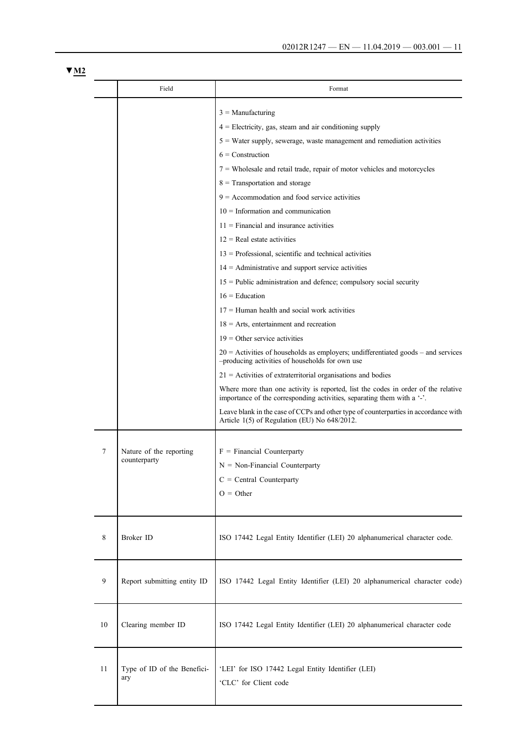|    | Field                                   | Format                                                                                                                                                       |
|----|-----------------------------------------|--------------------------------------------------------------------------------------------------------------------------------------------------------------|
|    |                                         | $3 =$ Manufacturing                                                                                                                                          |
|    |                                         | $4$ = Electricity, gas, steam and air conditioning supply                                                                                                    |
|    |                                         | $5$ = Water supply, sewerage, waste management and remediation activities                                                                                    |
|    |                                         | $6 =$ Construction                                                                                                                                           |
|    |                                         | $7$ = Wholesale and retail trade, repair of motor vehicles and motorcycles                                                                                   |
|    |                                         | $8$ = Transportation and storage                                                                                                                             |
|    |                                         | $9 =$ Accommodation and food service activities                                                                                                              |
|    |                                         | $10 =$ Information and communication                                                                                                                         |
|    |                                         | $11$ = Financial and insurance activities                                                                                                                    |
|    |                                         | $12$ = Real estate activities                                                                                                                                |
|    |                                         | $13$ = Professional, scientific and technical activities                                                                                                     |
|    |                                         | $14 =$ Administrative and support service activities                                                                                                         |
|    |                                         | $15$ = Public administration and defence; compulsory social security                                                                                         |
|    |                                         | $16 =$ Education                                                                                                                                             |
|    |                                         | $17 =$ Human health and social work activities                                                                                                               |
|    |                                         | $18 =$ Arts, entertainment and recreation                                                                                                                    |
|    |                                         | $19 =$ Other service activities                                                                                                                              |
|    |                                         | $20$ = Activities of households as employers; undifferentiated goods – and services<br>-producing activities of households for own use                       |
|    |                                         | $21$ = Activities of extraterritorial organisations and bodies                                                                                               |
|    |                                         | Where more than one activity is reported, list the codes in order of the relative<br>importance of the corresponding activities, separating them with a '-'. |
|    |                                         | Leave blank in the case of CCPs and other type of counterparties in accordance with<br>Article 1(5) of Regulation (EU) No 648/2012.                          |
|    |                                         |                                                                                                                                                              |
| 7  | Nature of the reporting<br>counterparty | $F = Financial Counterparty$                                                                                                                                 |
|    |                                         | $N = Non-Financial$ Counterparty                                                                                                                             |
|    |                                         | $C = Central Counterparty$                                                                                                                                   |
|    |                                         | $O = Other$                                                                                                                                                  |
| 8  | Broker ID                               | ISO 17442 Legal Entity Identifier (LEI) 20 alphanumerical character code.                                                                                    |
| 9  | Report submitting entity ID             | ISO 17442 Legal Entity Identifier (LEI) 20 alphanumerical character code)                                                                                    |
| 10 | Clearing member ID                      | ISO 17442 Legal Entity Identifier (LEI) 20 alphanumerical character code                                                                                     |
| 11 | Type of ID of the Benefici-<br>ary      | 'LEI' for ISO 17442 Legal Entity Identifier (LEI)<br>'CLC' for Client code                                                                                   |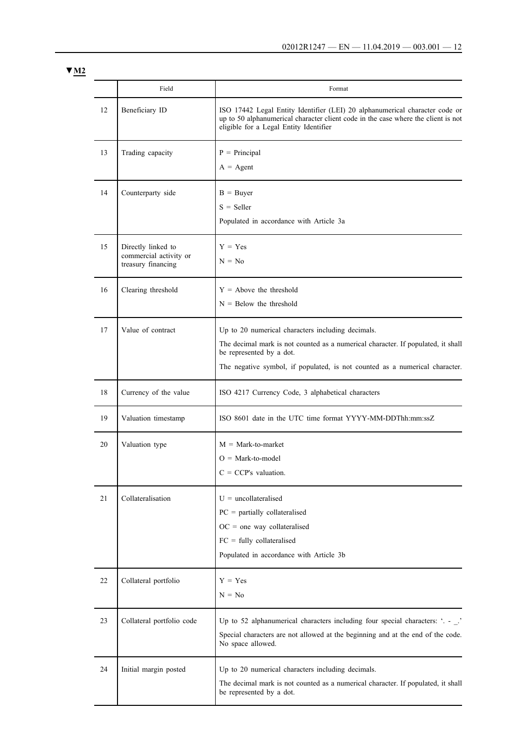|    | Field                                                              | Format                                                                                                                                                                                                                                           |
|----|--------------------------------------------------------------------|--------------------------------------------------------------------------------------------------------------------------------------------------------------------------------------------------------------------------------------------------|
| 12 | Beneficiary ID                                                     | ISO 17442 Legal Entity Identifier (LEI) 20 alphanumerical character code or<br>up to 50 alphanumerical character client code in the case where the client is not<br>eligible for a Legal Entity Identifier                                       |
| 13 | Trading capacity                                                   | $P = Principal$<br>$A = Agent$                                                                                                                                                                                                                   |
| 14 | Counterparty side                                                  | $B = Buyer$<br>$S =$ Seller<br>Populated in accordance with Article 3a                                                                                                                                                                           |
| 15 | Directly linked to<br>commercial activity or<br>treasury financing | $Y = Yes$<br>$N = No$                                                                                                                                                                                                                            |
| 16 | Clearing threshold                                                 | $Y =$ Above the threshold<br>$N =$ Below the threshold                                                                                                                                                                                           |
| 17 | Value of contract                                                  | Up to 20 numerical characters including decimals.<br>The decimal mark is not counted as a numerical character. If populated, it shall<br>be represented by a dot.<br>The negative symbol, if populated, is not counted as a numerical character. |
| 18 | Currency of the value                                              | ISO 4217 Currency Code, 3 alphabetical characters                                                                                                                                                                                                |
| 19 | Valuation timestamp                                                | ISO 8601 date in the UTC time format YYYY-MM-DDThh:mm:ssZ                                                                                                                                                                                        |
| 20 | Valuation type                                                     | $M = Mark-to-market$<br>$O = Mark-to-model$<br>$C = CCP's$ valuation.                                                                                                                                                                            |
| 21 | Collateralisation                                                  | $U =$ uncollateralised<br>$PC =$ partially collateralised<br>$OC = one way collateralised$<br>$FC = fully collateralised$<br>Populated in accordance with Article 3b                                                                             |
| 22 | Collateral portfolio                                               | $Y = Yes$<br>$N = No$                                                                                                                                                                                                                            |
| 23 | Collateral portfolio code                                          | Up to 52 alphanumerical characters including four special characters: '. - _.'<br>Special characters are not allowed at the beginning and at the end of the code.<br>No space allowed.                                                           |
| 24 | Initial margin posted                                              | Up to 20 numerical characters including decimals.<br>The decimal mark is not counted as a numerical character. If populated, it shall<br>be represented by a dot.                                                                                |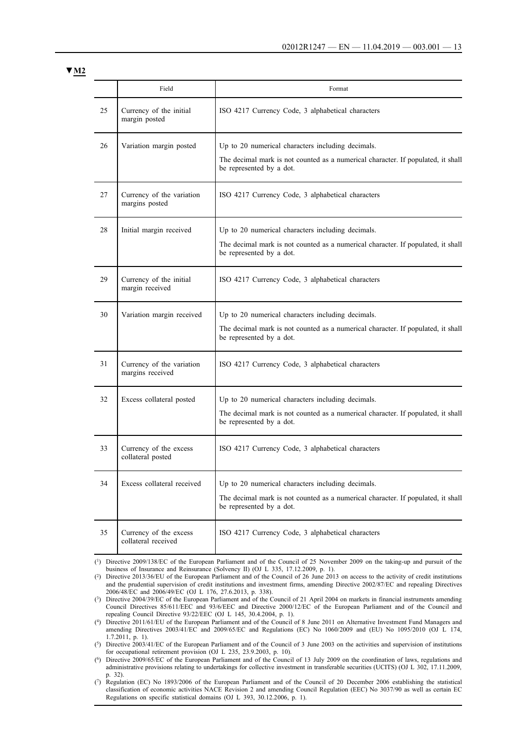|    | Field                                         | Format                                                                                                                                                            |
|----|-----------------------------------------------|-------------------------------------------------------------------------------------------------------------------------------------------------------------------|
| 25 | Currency of the initial<br>margin posted      | ISO 4217 Currency Code, 3 alphabetical characters                                                                                                                 |
| 26 | Variation margin posted                       | Up to 20 numerical characters including decimals.<br>The decimal mark is not counted as a numerical character. If populated, it shall<br>be represented by a dot. |
| 27 | Currency of the variation<br>margins posted   | ISO 4217 Currency Code, 3 alphabetical characters                                                                                                                 |
| 28 | Initial margin received                       | Up to 20 numerical characters including decimals.<br>The decimal mark is not counted as a numerical character. If populated, it shall<br>be represented by a dot. |
| 29 | Currency of the initial<br>margin received    | ISO 4217 Currency Code, 3 alphabetical characters                                                                                                                 |
| 30 | Variation margin received                     | Up to 20 numerical characters including decimals.<br>The decimal mark is not counted as a numerical character. If populated, it shall<br>be represented by a dot. |
| 31 | Currency of the variation<br>margins received | ISO 4217 Currency Code, 3 alphabetical characters                                                                                                                 |
| 32 | Excess collateral posted                      | Up to 20 numerical characters including decimals.<br>The decimal mark is not counted as a numerical character. If populated, it shall<br>be represented by a dot. |
| 33 | Currency of the excess<br>collateral posted   | ISO 4217 Currency Code, 3 alphabetical characters                                                                                                                 |
| 34 | Excess collateral received                    | Up to 20 numerical characters including decimals.<br>The decimal mark is not counted as a numerical character. If populated, it shall<br>be represented by a dot. |
| 35 | Currency of the excess<br>collateral received | ISO 4217 Currency Code, 3 alphabetical characters                                                                                                                 |

(1) Directive 2009/138/EC of the European Parliament and of the Council of 25 November 2009 on the taking-up and pursuit of the business of Insurance and Reinsurance (Solvency II) (OJ L 335, 17.12.2009, p. 1).

(2) Directive 2013/36/EU of the European Parliament and of the Council of 26 June 2013 on access to the activity of credit institutions and the prudential supervision of credit institutions and investment firms, amending Directive 2002/87/EC and repealing Directives 2006/48/EC and 2006/49/EC (OJ L 176, 27.6.2013, p. 338).

(3) Directive 2004/39/EC of the European Parliament and of the Council of 21 April 2004 on markets in financial instruments amending Council Directives 85/611/EEC and 93/6/EEC and Directive 2000/12/EC of the European Parliament and of the Council and repealing Council Directive 93/22/EEC (OJ L 145, 30.4.2004, p. 1).

(4) Directive 2011/61/EU of the European Parliament and of the Council of 8 June 2011 on Alternative Investment Fund Managers and amending Directives 2003/41/EC and 2009/65/EC and Regulations (EC) No 1060/2009 and (EU) No 1095/2010 (OJ L 174, 1.7.2011, p. 1).

(5) Directive 2003/41/EC of the European Parliament and of the Council of 3 June 2003 on the activities and supervision of institutions for occupational retirement provision (OJ L 235, 23.9.2003, p. 10).

(6) Directive 2009/65/EC of the European Parliament and of the Council of 13 July 2009 on the coordination of laws, regulations and administrative provisions relating to undertakings for collective investment in transferable securities (UCITS) (OJ L 302, 17.11.2009, p. 32).

(7) Regulation (EC) No 1893/2006 of the European Parliament and of the Council of 20 December 2006 establishing the statistical classification of economic activities NACE Revision 2 and amending Council Regulation (EEC) No 3037/90 as well as certain EC Regulations on specific statistical domains (OJ L 393, 30.12.2006, p. 1).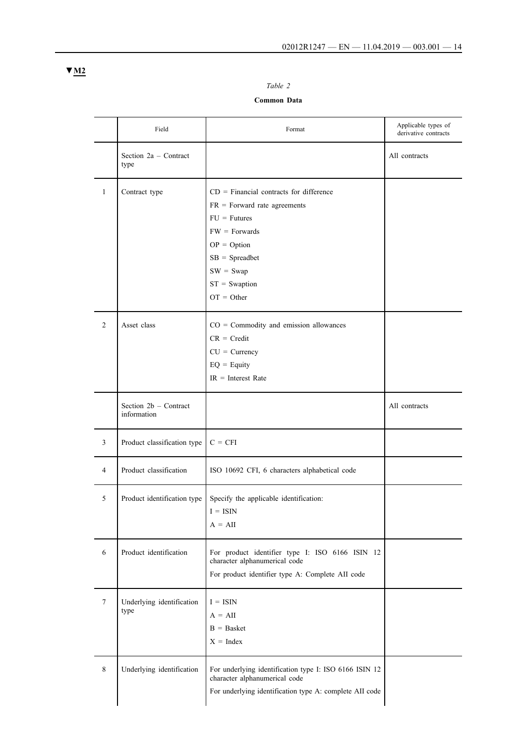# *Table 2*

## **Common Data**

|                | Field                                  | Format                                                                                                                                                                                                   | Applicable types of<br>derivative contracts |
|----------------|----------------------------------------|----------------------------------------------------------------------------------------------------------------------------------------------------------------------------------------------------------|---------------------------------------------|
|                | Section 2a - Contract<br>type          |                                                                                                                                                                                                          | All contracts                               |
| $\mathbf{1}$   | Contract type                          | $CD = Financial$ contracts for difference<br>$FR = Forward rate agreements$<br>$FU = Futures$<br>$FW = Forwards$<br>$OP = Option$<br>$SB = S$ preadbet<br>$SW = Swap$<br>$ST = Swaption$<br>$OT = Other$ |                                             |
| $\overline{2}$ | Asset class                            | $CO = Commodity$ and emission allowances<br>$CR = Credit$<br>$CU = Currency$<br>$EQ =$ Equity<br>$IR = Interest Rate$                                                                                    |                                             |
|                | Section $2b$ – Contract<br>information |                                                                                                                                                                                                          | All contracts                               |
| 3              | Product classification type            | $C = CFI$                                                                                                                                                                                                |                                             |
| 4              | Product classification                 | ISO 10692 CFI, 6 characters alphabetical code                                                                                                                                                            |                                             |
| 5              | Product identification type            | Specify the applicable identification:<br>$I = ISIN$<br>$A = AII$                                                                                                                                        |                                             |
| 6              | Product identification                 | For product identifier type I: ISO 6166 ISIN 12<br>character alphanumerical code<br>For product identifier type A: Complete AII code                                                                     |                                             |
| $\tau$         | Underlying identification<br>type      | $I = ISIN$<br>$A = AII$<br>$B =$ Basket<br>$X = Index$                                                                                                                                                   |                                             |
| $\,8\,$        | Underlying identification              | For underlying identification type I: ISO 6166 ISIN 12<br>character alphanumerical code<br>For underlying identification type A: complete AII code                                                       |                                             |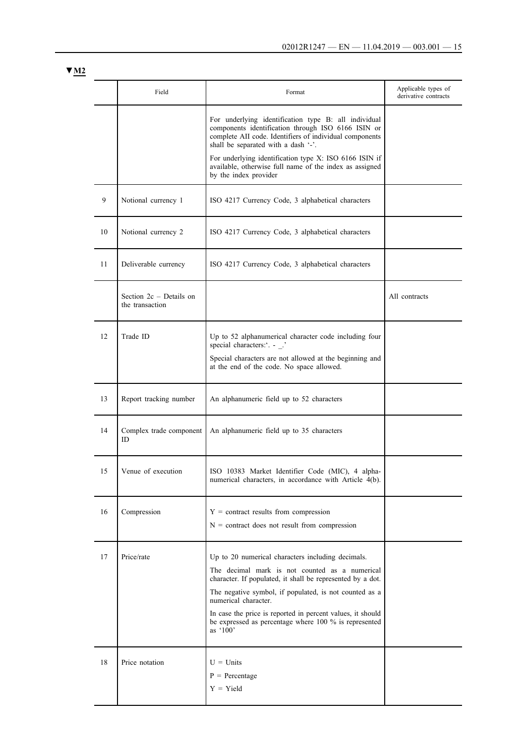|    | Field                                      | Format                                                                                                                                                                                                                                              | Applicable types of<br>derivative contracts |
|----|--------------------------------------------|-----------------------------------------------------------------------------------------------------------------------------------------------------------------------------------------------------------------------------------------------------|---------------------------------------------|
|    |                                            | For underlying identification type B: all individual<br>components identification through ISO 6166 ISIN or<br>complete AII code. Identifiers of individual components<br>shall be separated with a dash '-'.                                        |                                             |
|    |                                            | For underlying identification type X: ISO 6166 ISIN if<br>available, otherwise full name of the index as assigned<br>by the index provider                                                                                                          |                                             |
| 9  | Notional currency 1                        | ISO 4217 Currency Code, 3 alphabetical characters                                                                                                                                                                                                   |                                             |
| 10 | Notional currency 2                        | ISO 4217 Currency Code, 3 alphabetical characters                                                                                                                                                                                                   |                                             |
| 11 | Deliverable currency                       | ISO 4217 Currency Code, 3 alphabetical characters                                                                                                                                                                                                   |                                             |
|    | Section 2c – Details on<br>the transaction |                                                                                                                                                                                                                                                     | All contracts                               |
| 12 | Trade ID                                   | Up to 52 alphanumerical character code including four<br>special characters: '. - _.'                                                                                                                                                               |                                             |
|    |                                            | Special characters are not allowed at the beginning and<br>at the end of the code. No space allowed.                                                                                                                                                |                                             |
| 13 | Report tracking number                     | An alphanumeric field up to 52 characters                                                                                                                                                                                                           |                                             |
| 14 | Complex trade component<br>ID.             | An alphanumeric field up to 35 characters                                                                                                                                                                                                           |                                             |
| 15 | Venue of execution                         | ISO 10383 Market Identifier Code (MIC), 4 alpha-<br>numerical characters, in accordance with Article 4(b).                                                                                                                                          |                                             |
| 16 | Compression                                | $Y =$ contract results from compression<br>$N =$ contract does not result from compression                                                                                                                                                          |                                             |
| 17 | Price/rate                                 | Up to 20 numerical characters including decimals.<br>The decimal mark is not counted as a numerical<br>character. If populated, it shall be represented by a dot.<br>The negative symbol, if populated, is not counted as a<br>numerical character. |                                             |
|    |                                            | In case the price is reported in percent values, it should<br>be expressed as percentage where 100 % is represented<br>as '100'                                                                                                                     |                                             |
| 18 | Price notation                             | $U =$ Units<br>$P = Percentage$<br>$Y = Yield$                                                                                                                                                                                                      |                                             |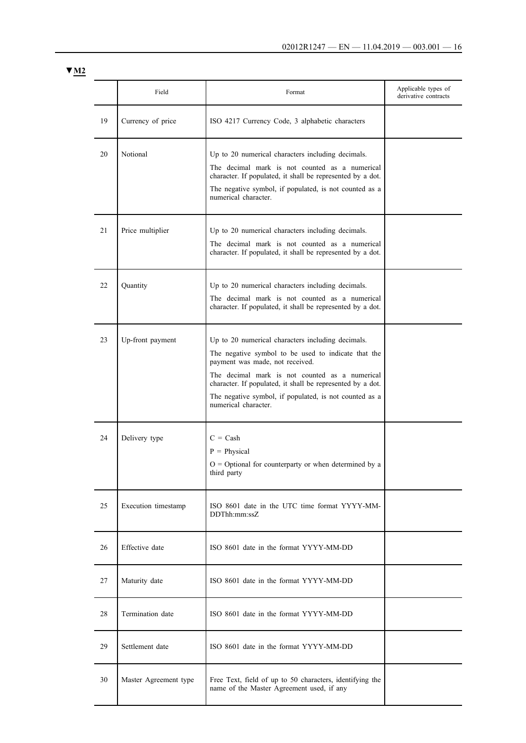|    | Field                 | Format                                                                                                                                                                                                                                                                                                                                        | Applicable types of<br>derivative contracts |
|----|-----------------------|-----------------------------------------------------------------------------------------------------------------------------------------------------------------------------------------------------------------------------------------------------------------------------------------------------------------------------------------------|---------------------------------------------|
| 19 | Currency of price     | ISO 4217 Currency Code, 3 alphabetic characters                                                                                                                                                                                                                                                                                               |                                             |
| 20 | Notional              | Up to 20 numerical characters including decimals.<br>The decimal mark is not counted as a numerical<br>character. If populated, it shall be represented by a dot.<br>The negative symbol, if populated, is not counted as a<br>numerical character.                                                                                           |                                             |
| 21 | Price multiplier      | Up to 20 numerical characters including decimals.<br>The decimal mark is not counted as a numerical<br>character. If populated, it shall be represented by a dot.                                                                                                                                                                             |                                             |
| 22 | Quantity              | Up to 20 numerical characters including decimals.<br>The decimal mark is not counted as a numerical<br>character. If populated, it shall be represented by a dot.                                                                                                                                                                             |                                             |
| 23 | Up-front payment      | Up to 20 numerical characters including decimals.<br>The negative symbol to be used to indicate that the<br>payment was made, not received.<br>The decimal mark is not counted as a numerical<br>character. If populated, it shall be represented by a dot.<br>The negative symbol, if populated, is not counted as a<br>numerical character. |                                             |
| 24 | Delivery type         | $C = Cash$<br>$P = Physical$<br>$O =$ Optional for counterparty or when determined by a<br>third party                                                                                                                                                                                                                                        |                                             |
| 25 | Execution timestamp   | ISO 8601 date in the UTC time format YYYY-MM-<br>DDThh:mm:ssZ                                                                                                                                                                                                                                                                                 |                                             |
| 26 | Effective date        | ISO 8601 date in the format YYYY-MM-DD                                                                                                                                                                                                                                                                                                        |                                             |
| 27 | Maturity date         | ISO 8601 date in the format YYYY-MM-DD                                                                                                                                                                                                                                                                                                        |                                             |
| 28 | Termination date      | ISO 8601 date in the format YYYY-MM-DD                                                                                                                                                                                                                                                                                                        |                                             |
| 29 | Settlement date       | ISO 8601 date in the format YYYY-MM-DD                                                                                                                                                                                                                                                                                                        |                                             |
| 30 | Master Agreement type | Free Text, field of up to 50 characters, identifying the<br>name of the Master Agreement used, if any                                                                                                                                                                                                                                         |                                             |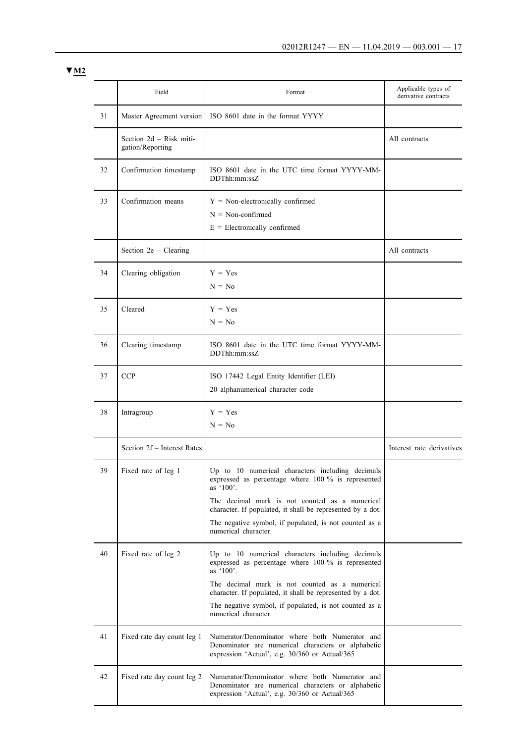|    | Field                                       | Format                                                                                                                                                                                                                                                                                                                   | Applicable types of<br>derivative contracts |
|----|---------------------------------------------|--------------------------------------------------------------------------------------------------------------------------------------------------------------------------------------------------------------------------------------------------------------------------------------------------------------------------|---------------------------------------------|
| 31 | Master Agreement version                    | ISO 8601 date in the format YYYY                                                                                                                                                                                                                                                                                         |                                             |
|    | Section 2d - Risk miti-<br>gation/Reporting |                                                                                                                                                                                                                                                                                                                          | All contracts                               |
| 32 | Confirmation timestamp                      | ISO 8601 date in the UTC time format YYYY-MM-<br>DDThh:mm:ssZ                                                                                                                                                                                                                                                            |                                             |
| 33 | Confirmation means                          | $Y = Non-electronically confirmed$<br>$N = Non-confirmed$<br>$E =$ Electronically confirmed                                                                                                                                                                                                                              |                                             |
|    | Section $2e$ – Clearing                     |                                                                                                                                                                                                                                                                                                                          | All contracts                               |
| 34 | Clearing obligation                         | $Y = Yes$<br>$N = No$                                                                                                                                                                                                                                                                                                    |                                             |
| 35 | Cleared                                     | $Y = Yes$<br>$N = No$                                                                                                                                                                                                                                                                                                    |                                             |
| 36 | Clearing timestamp                          | ISO 8601 date in the UTC time format YYYY-MM-<br>DDThh:mm:ssZ                                                                                                                                                                                                                                                            |                                             |
| 37 | <b>CCP</b>                                  | ISO 17442 Legal Entity Identifier (LEI)<br>20 alphanumerical character code                                                                                                                                                                                                                                              |                                             |
| 38 | Intragroup                                  | $Y = Yes$<br>$N = No$                                                                                                                                                                                                                                                                                                    |                                             |
|    | Section 2f - Interest Rates                 |                                                                                                                                                                                                                                                                                                                          | Interest rate derivatives                   |
| 39 | Fixed rate of leg 1                         | Up to 10 numerical characters including decimals<br>expressed as percentage where 100 % is represented<br>as $'100'$ .<br>The decimal mark is not counted as a numerical<br>character. If populated, it shall be represented by a dot.<br>The negative symbol, if populated, is not counted as a<br>numerical character. |                                             |
| 40 | Fixed rate of leg 2                         | Up to 10 numerical characters including decimals<br>expressed as percentage where 100 % is represented<br>as '100'.<br>The decimal mark is not counted as a numerical<br>character. If populated, it shall be represented by a dot.<br>The negative symbol, if populated, is not counted as a<br>numerical character.    |                                             |
| 41 | Fixed rate day count leg 1                  | Numerator/Denominator where both Numerator and<br>Denominator are numerical characters or alphabetic<br>expression 'Actual', e.g. 30/360 or Actual/365                                                                                                                                                                   |                                             |
| 42 | Fixed rate day count leg 2                  | Numerator/Denominator where both Numerator and<br>Denominator are numerical characters or alphabetic<br>expression 'Actual', e.g. 30/360 or Actual/365                                                                                                                                                                   |                                             |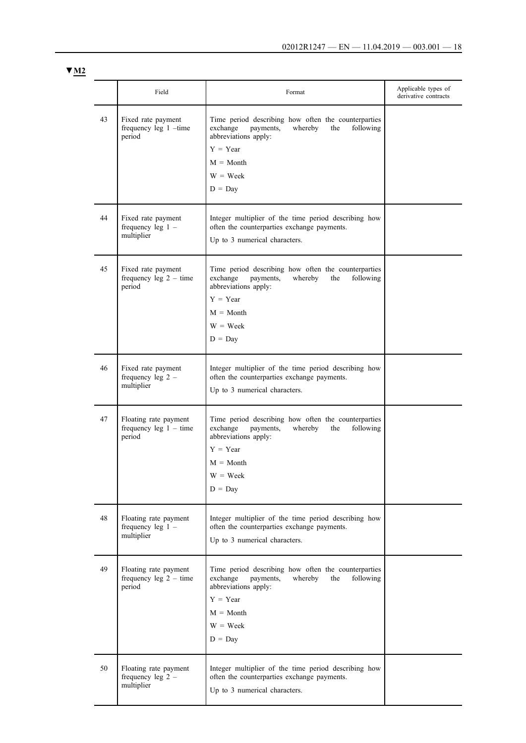|    | Field                                                       | Format                                                                                                                                                                                                    | Applicable types of<br>derivative contracts |
|----|-------------------------------------------------------------|-----------------------------------------------------------------------------------------------------------------------------------------------------------------------------------------------------------|---------------------------------------------|
| 43 | Fixed rate payment<br>frequency leg 1 -time<br>period       | Time period describing how often the counterparties<br>whereby<br>exchange<br>payments,<br>the<br>following<br>abbreviations apply:<br>$Y = Year$<br>$M = \text{Month}$<br>$W = \text{Week}$<br>$D = Day$ |                                             |
| 44 | Fixed rate payment<br>frequency leg $1 -$<br>multiplier     | Integer multiplier of the time period describing how<br>often the counterparties exchange payments.<br>Up to 3 numerical characters.                                                                      |                                             |
| 45 | Fixed rate payment<br>frequency leg $2 - time$<br>period    | Time period describing how often the counterparties<br>exchange<br>payments,<br>whereby<br>the<br>following<br>abbreviations apply:<br>$Y = Year$<br>$M = \text{Month}$<br>$W = \text{Week}$<br>$D = Day$ |                                             |
| 46 | Fixed rate payment<br>frequency leg $2 -$<br>multiplier     | Integer multiplier of the time period describing how<br>often the counterparties exchange payments.<br>Up to 3 numerical characters.                                                                      |                                             |
| 47 | Floating rate payment<br>frequency leg $1 -$ time<br>period | Time period describing how often the counterparties<br>exchange<br>following<br>payments,<br>whereby<br>the<br>abbreviations apply:<br>$Y = Year$<br>$M = \text{Month}$<br>$W = \text{Week}$<br>$D = Day$ |                                             |
| 48 | Floating rate payment<br>frequency leg $1 -$<br>multiplier  | Integer multiplier of the time period describing how<br>often the counterparties exchange payments.<br>Up to 3 numerical characters.                                                                      |                                             |
| 49 | Floating rate payment<br>frequency leg $2 - time$<br>period | Time period describing how often the counterparties<br>exchange<br>whereby<br>the<br>following<br>payments,<br>abbreviations apply:<br>$Y = Year$<br>$M = \text{Month}$<br>$W = \text{Week}$<br>$D = Day$ |                                             |
| 50 | Floating rate payment<br>frequency leg $2 -$<br>multiplier  | Integer multiplier of the time period describing how<br>often the counterparties exchange payments.<br>Up to 3 numerical characters.                                                                      |                                             |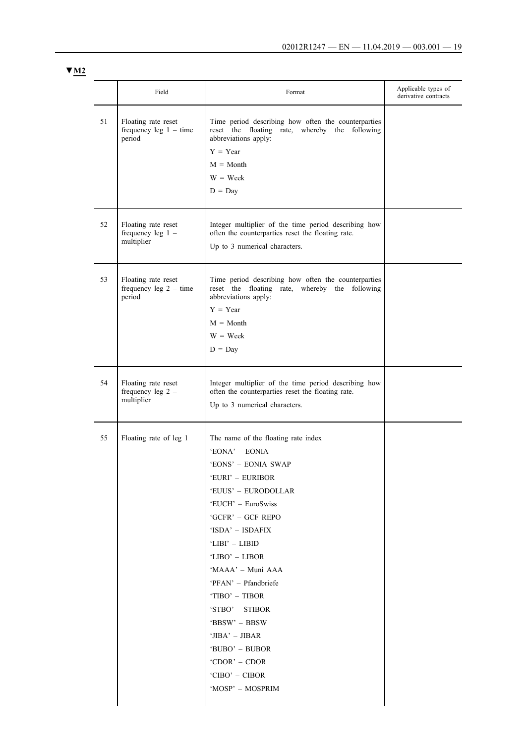|    | Field                                                     | Format                                                                                                                                      | Applicable types of<br>derivative contracts |
|----|-----------------------------------------------------------|---------------------------------------------------------------------------------------------------------------------------------------------|---------------------------------------------|
| 51 | Floating rate reset<br>frequency leg $1 - time$<br>period | Time period describing how often the counterparties<br>reset the floating rate, whereby the following<br>abbreviations apply:<br>$Y = Year$ |                                             |
|    |                                                           | $M = \text{Month}$                                                                                                                          |                                             |
|    |                                                           | $W = \text{Week}$                                                                                                                           |                                             |
|    |                                                           | $D = Day$                                                                                                                                   |                                             |
| 52 | Floating rate reset<br>frequency leg $1 -$                | Integer multiplier of the time period describing how<br>often the counterparties reset the floating rate.                                   |                                             |
|    | multiplier                                                | Up to 3 numerical characters.                                                                                                               |                                             |
| 53 | Floating rate reset<br>frequency leg $2 - time$<br>period | Time period describing how often the counterparties<br>reset the floating rate, whereby the following<br>abbreviations apply:               |                                             |
|    |                                                           | $Y = Year$                                                                                                                                  |                                             |
|    |                                                           | $M = \text{Month}$                                                                                                                          |                                             |
|    |                                                           | $W =$ Week                                                                                                                                  |                                             |
|    |                                                           | $D = Day$                                                                                                                                   |                                             |
| 54 | Floating rate reset<br>frequency leg $2 -$                | Integer multiplier of the time period describing how<br>often the counterparties reset the floating rate.                                   |                                             |
|    | multiplier                                                | Up to 3 numerical characters.                                                                                                               |                                             |
| 55 | Floating rate of leg 1                                    | The name of the floating rate index                                                                                                         |                                             |
|    |                                                           | 'EONA' - EONIA                                                                                                                              |                                             |
|    |                                                           | 'EONS' - EONIA SWAP                                                                                                                         |                                             |
|    |                                                           | 'EURI' - EURIBOR                                                                                                                            |                                             |
|    |                                                           | 'EUUS' – EURODOLLAR                                                                                                                         |                                             |
|    |                                                           | 'EUCH' – EuroSwiss                                                                                                                          |                                             |
|    |                                                           | 'GCFR' – GCF REPO                                                                                                                           |                                             |
|    |                                                           | 'ISDA' – ISDAFIX                                                                                                                            |                                             |
|    |                                                           | 'LIBI' – LIBID<br>'LIBO' – LIBOR                                                                                                            |                                             |
|    |                                                           | 'MAAA' – Muni AAA                                                                                                                           |                                             |
|    |                                                           | 'PFAN' – Pfandbriefe                                                                                                                        |                                             |
|    |                                                           | 'TIBO' – TIBOR                                                                                                                              |                                             |
|    |                                                           | 'STBO' – STIBOR                                                                                                                             |                                             |
|    |                                                           | 'BBSW' – BBSW                                                                                                                               |                                             |
|    |                                                           | 'JIBA' – JIBAR                                                                                                                              |                                             |
|    |                                                           | 'BUBO' – BUBOR                                                                                                                              |                                             |
|    |                                                           | 'CDOR' – CDOR                                                                                                                               |                                             |
|    |                                                           | 'CIBO' – CIBOR                                                                                                                              |                                             |
|    |                                                           | 'MOSP' - MOSPRIM                                                                                                                            |                                             |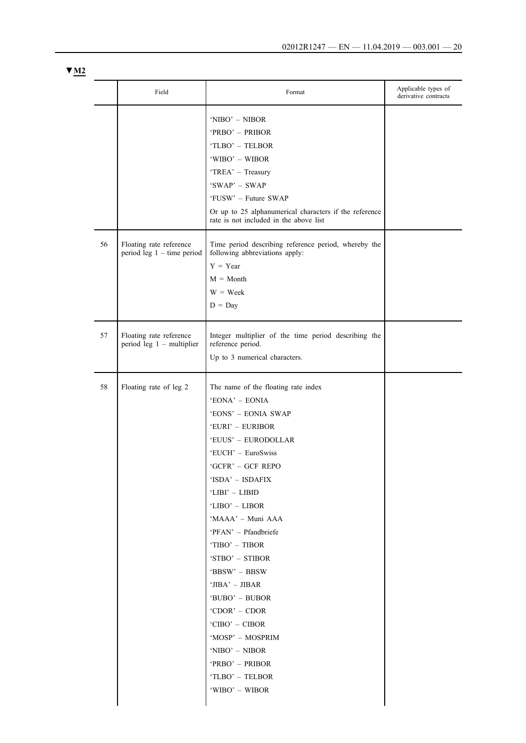| M2 |  |
|----|--|
|    |  |

|    | Field                                                   | Format                                                                                                                                                                                                                                                                                                                                                                                                                                                                                             | Applicable types of<br>derivative contracts |
|----|---------------------------------------------------------|----------------------------------------------------------------------------------------------------------------------------------------------------------------------------------------------------------------------------------------------------------------------------------------------------------------------------------------------------------------------------------------------------------------------------------------------------------------------------------------------------|---------------------------------------------|
|    |                                                         | 'NIBO' - NIBOR<br>'PRBO' - PRIBOR<br>'TLBO' - TELBOR<br>'WIBO' - WIBOR<br>'TREA' - Treasury<br>'SWAP' - SWAP<br>'FUSW' - Future SWAP                                                                                                                                                                                                                                                                                                                                                               |                                             |
|    |                                                         | Or up to 25 alphanumerical characters if the reference<br>rate is not included in the above list                                                                                                                                                                                                                                                                                                                                                                                                   |                                             |
| 56 | Floating rate reference<br>period leg $1 -$ time period | Time period describing reference period, whereby the<br>following abbreviations apply:<br>$Y = Year$<br>$M = \text{Month}$<br>$W = \text{Week}$<br>$D = Day$                                                                                                                                                                                                                                                                                                                                       |                                             |
| 57 | Floating rate reference<br>period leg $1$ – multiplier  | Integer multiplier of the time period describing the<br>reference period.<br>Up to 3 numerical characters.                                                                                                                                                                                                                                                                                                                                                                                         |                                             |
| 58 | Floating rate of leg 2                                  | The name of the floating rate index<br>'EONA' - EONIA<br>'EONS' - EONIA SWAP<br>'EURI' - EURIBOR<br>'EUUS' - EURODOLLAR<br>'EUCH' – EuroSwiss<br>'GCFR' - GCF REPO<br>'ISDA' – ISDAFIX<br>'LIBI' – LIBID<br>'LIBO' - LIBOR<br>'MAAA' - Muni AAA<br>'PFAN' – Pfandbriefe<br>'TIBO' – TIBOR<br>'STBO' - STIBOR<br>'BBSW' – BBSW<br>'JIBA' - JIBAR<br>'BUBO' – BUBOR<br>'CDOR' - CDOR<br>'CIBO' – CIBOR<br>'MOSP' - MOSPRIM<br>'NIBO' – NIBOR<br>'PRBO' - PRIBOR<br>'TLBO' - TELBOR<br>'WIBO' – WIBOR |                                             |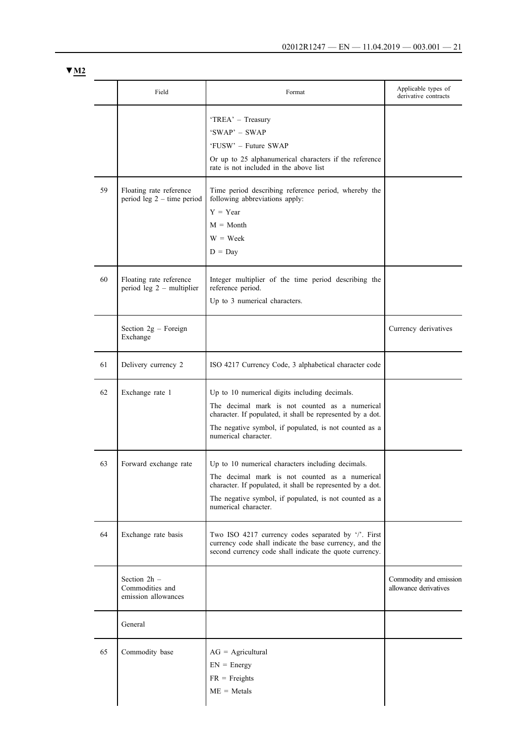|    | Field                                                   | Format                                                                                                                                                                                                                                              | Applicable types of<br>derivative contracts     |
|----|---------------------------------------------------------|-----------------------------------------------------------------------------------------------------------------------------------------------------------------------------------------------------------------------------------------------------|-------------------------------------------------|
|    |                                                         | 'TREA' - Treasury<br>$'SWAP' - SWAP$<br>'FUSW' - Future SWAP<br>Or up to 25 alphanumerical characters if the reference<br>rate is not included in the above list                                                                                    |                                                 |
| 59 | Floating rate reference<br>period leg $2 -$ time period | Time period describing reference period, whereby the<br>following abbreviations apply:<br>$Y = Year$<br>$M = \text{Month}$<br>$W = \text{Week}$<br>$D = Day$                                                                                        |                                                 |
| 60 | Floating rate reference<br>period leg $2$ – multiplier  | Integer multiplier of the time period describing the<br>reference period.<br>Up to 3 numerical characters.                                                                                                                                          |                                                 |
|    | Section 2g - Foreign<br>Exchange                        |                                                                                                                                                                                                                                                     | Currency derivatives                            |
| 61 | Delivery currency 2                                     | ISO 4217 Currency Code, 3 alphabetical character code                                                                                                                                                                                               |                                                 |
| 62 | Exchange rate 1                                         | Up to 10 numerical digits including decimals.<br>The decimal mark is not counted as a numerical<br>character. If populated, it shall be represented by a dot.<br>The negative symbol, if populated, is not counted as a<br>numerical character.     |                                                 |
| 63 | Forward exchange rate                                   | Up to 10 numerical characters including decimals.<br>The decimal mark is not counted as a numerical<br>character. If populated, it shall be represented by a dot.<br>The negative symbol, if populated, is not counted as a<br>numerical character. |                                                 |
| 64 | Exchange rate basis                                     | Two ISO 4217 currency codes separated by '/'. First<br>currency code shall indicate the base currency, and the<br>second currency code shall indicate the quote currency.                                                                           |                                                 |
|    | Section 2h -<br>Commodities and<br>emission allowances  |                                                                                                                                                                                                                                                     | Commodity and emission<br>allowance derivatives |
|    | General                                                 |                                                                                                                                                                                                                                                     |                                                 |
| 65 | Commodity base                                          | $AG = Agricultural$<br>$EN = Energy$<br>$FR = Freights$<br>$ME = Metals$                                                                                                                                                                            |                                                 |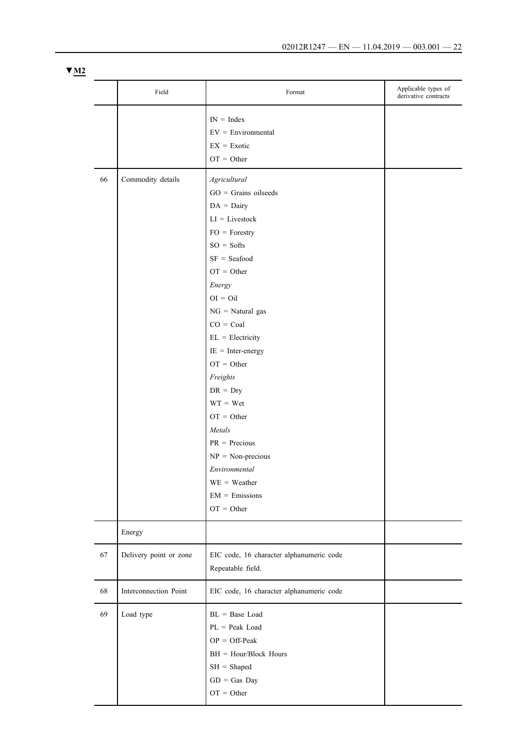| v<br>VI Z |  |  |
|-----------|--|--|
|           |  |  |

|    | Field                  | Format                                                                                                                                                                                                                                                                                                                                                                                                                                                    | Applicable types of<br>derivative contracts |
|----|------------------------|-----------------------------------------------------------------------------------------------------------------------------------------------------------------------------------------------------------------------------------------------------------------------------------------------------------------------------------------------------------------------------------------------------------------------------------------------------------|---------------------------------------------|
|    |                        | $IN = Index$<br>$EV = Environmental$<br>$EX = Exotic$<br>$OT = Other$                                                                                                                                                                                                                                                                                                                                                                                     |                                             |
| 66 | Commodity details      | Agricultural<br>$GO = Grains$ oilseeds<br>$DA = Dairy$<br>$LI = Livestock$<br>$FO = Forestry$<br>$SO = Softs$<br>$SF = Seafood$<br>$OT = Other$<br>Energy<br>$OI = Oil$<br>$NG = Natural$<br>$CO = Coal$<br>$EL = Electricity$<br>$IE = Inter-energy$<br>$OT = Other$<br>Freights<br>$DR = Dry$<br>$WT = Wet$<br>$OT = Other$<br>Metals<br>$PR = Precious$<br>$NP = Non-precious$<br>Environmental<br>$WE = Weather$<br>$EM = E$ missions<br>$OT = Other$ |                                             |
|    | Energy                 |                                                                                                                                                                                                                                                                                                                                                                                                                                                           |                                             |
| 67 | Delivery point or zone | EIC code, 16 character alphanumeric code<br>Repeatable field.                                                                                                                                                                                                                                                                                                                                                                                             |                                             |
| 68 | Interconnection Point  | EIC code, 16 character alphanumeric code                                                                                                                                                                                                                                                                                                                                                                                                                  |                                             |
| 69 | Load type              | BL = Base Load<br>$PL = Peak Load$<br>$OP = Off-Peak$<br>$BH =$ Hour/Block Hours<br>$SH = Shaped$<br>$GD = Gas$ Day<br>$OT = Other$                                                                                                                                                                                                                                                                                                                       |                                             |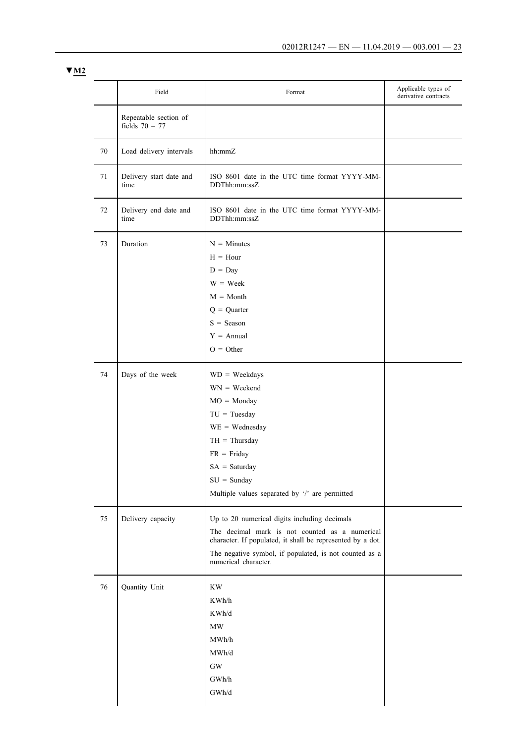|    | Field                                     | Format                                                                                                                                                                                                                                         | Applicable types of<br>derivative contracts |
|----|-------------------------------------------|------------------------------------------------------------------------------------------------------------------------------------------------------------------------------------------------------------------------------------------------|---------------------------------------------|
|    | Repeatable section of<br>fields $70 - 77$ |                                                                                                                                                                                                                                                |                                             |
| 70 | Load delivery intervals                   | hh:mmZ                                                                                                                                                                                                                                         |                                             |
| 71 | Delivery start date and<br>time           | ISO 8601 date in the UTC time format YYYY-MM-<br>DDThh:mm:ssZ                                                                                                                                                                                  |                                             |
| 72 | Delivery end date and<br>time             | ISO 8601 date in the UTC time format YYYY-MM-<br>DDThh:mm:ssZ                                                                                                                                                                                  |                                             |
| 73 | Duration                                  | $N =$ Minutes<br>$H = Hour$<br>$D = Day$<br>$W = \text{Week}$<br>$M = \text{Month}$<br>$Q =$ Quarter<br>$S =$ Season<br>$Y = \text{Annual}$<br>$O = Other$                                                                                     |                                             |
| 74 | Days of the week                          | $WD = Weekdays$<br>$WN = Weekend$<br>$MO = Monday$<br>$TU = Tuesday$<br>$WE = Wednesday$<br>$TH = Thursday$<br>$FR = Friday$<br>$SA = Saturday$<br>$SU =$ Sunday<br>Multiple values separated by '/' are permitted                             |                                             |
| 75 | Delivery capacity                         | Up to 20 numerical digits including decimals<br>The decimal mark is not counted as a numerical<br>character. If populated, it shall be represented by a dot.<br>The negative symbol, if populated, is not counted as a<br>numerical character. |                                             |
| 76 | Quantity Unit                             | $\mathbf{K}\mathbf{W}$<br>KWh/h<br>KWh/d<br>$\ensuremath{\text{MW}}\xspace$<br>MWh/h<br>MWh/d<br>$\rm GW$<br>GWh/h<br>GWh/d                                                                                                                    |                                             |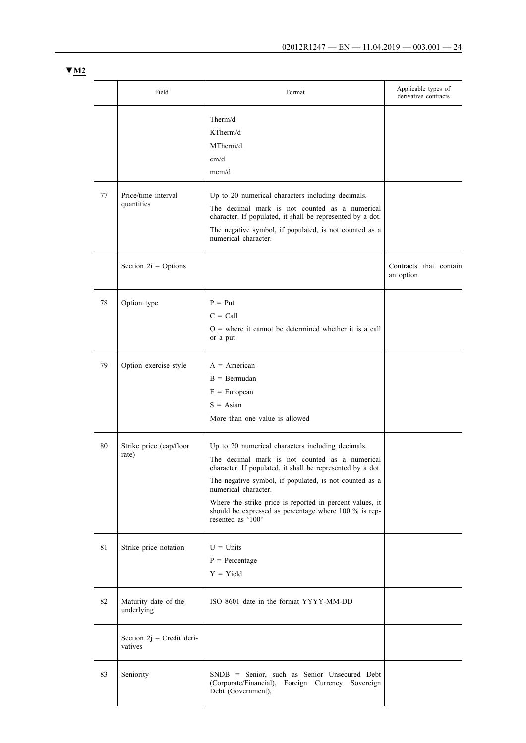| M <sub>2</sub><br><b>V</b> |  |
|----------------------------|--|
|                            |  |

|    | Field                                | Format                                                                                                                                                                                                                                                                                                                                                                                        | Applicable types of<br>derivative contracts |
|----|--------------------------------------|-----------------------------------------------------------------------------------------------------------------------------------------------------------------------------------------------------------------------------------------------------------------------------------------------------------------------------------------------------------------------------------------------|---------------------------------------------|
|    |                                      | Therm/d<br>KTherm/d<br>MTherm/d<br>cm/d<br>mcm/d                                                                                                                                                                                                                                                                                                                                              |                                             |
| 77 | Price/time interval<br>quantities    | Up to 20 numerical characters including decimals.<br>The decimal mark is not counted as a numerical<br>character. If populated, it shall be represented by a dot.<br>The negative symbol, if populated, is not counted as a<br>numerical character.                                                                                                                                           |                                             |
|    | Section 2i - Options                 |                                                                                                                                                                                                                                                                                                                                                                                               | Contracts that contain<br>an option         |
| 78 | Option type                          | $P = Put$<br>$C = Call$<br>$O =$ where it cannot be determined whether it is a call<br>or a put                                                                                                                                                                                                                                                                                               |                                             |
| 79 | Option exercise style                | $A = American$<br>$B = Bermudan$<br>$E = European$<br>$S = Asian$<br>More than one value is allowed                                                                                                                                                                                                                                                                                           |                                             |
| 80 | Strike price (cap/floor<br>rate)     | Up to 20 numerical characters including decimals.<br>The decimal mark is not counted as a numerical<br>character. If populated, it shall be represented by a dot.<br>The negative symbol, if populated, is not counted as a<br>numerical character.<br>Where the strike price is reported in percent values, it<br>should be expressed as percentage where 100 % is rep-<br>resented as '100' |                                             |
| 81 | Strike price notation                | $U =$ Units<br>$P = Percentage$<br>$Y = Yield$                                                                                                                                                                                                                                                                                                                                                |                                             |
| 82 | Maturity date of the<br>underlying   | ISO 8601 date in the format YYYY-MM-DD                                                                                                                                                                                                                                                                                                                                                        |                                             |
|    | Section 2j - Credit deri-<br>vatives |                                                                                                                                                                                                                                                                                                                                                                                               |                                             |
| 83 | Seniority                            | SNDB = Senior, such as Senior Unsecured Debt<br>(Corporate/Financial), Foreign Currency Sovereign<br>Debt (Government),                                                                                                                                                                                                                                                                       |                                             |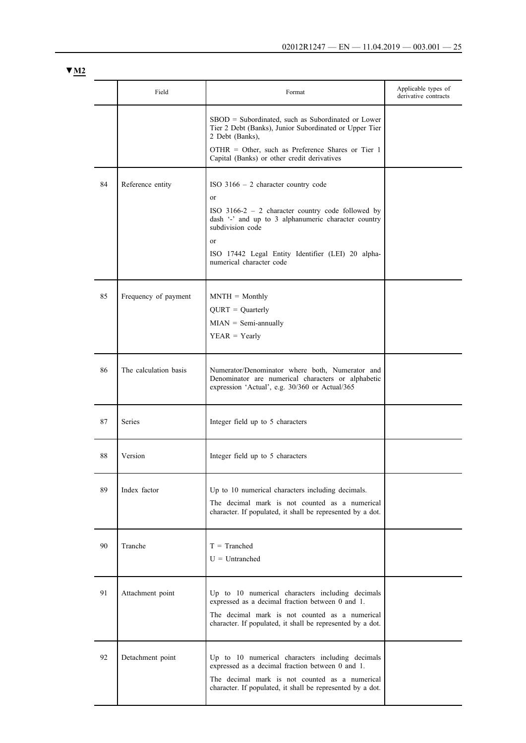|    | Field                 | Format                                                                                                                                                                                                                                                                                     | Applicable types of<br>derivative contracts |
|----|-----------------------|--------------------------------------------------------------------------------------------------------------------------------------------------------------------------------------------------------------------------------------------------------------------------------------------|---------------------------------------------|
|    |                       | $SBOD = Subordinated$ , such as Subordinated or Lower<br>Tier 2 Debt (Banks), Junior Subordinated or Upper Tier<br>2 Debt (Banks).                                                                                                                                                         |                                             |
|    |                       | $OTHR = Other$ , such as Preference Shares or Tier 1<br>Capital (Banks) or other credit derivatives                                                                                                                                                                                        |                                             |
| 84 | Reference entity      | ISO $3166 - 2$ character country code<br><sub>or</sub><br>ISO $3166-2 - 2$ character country code followed by<br>dash '-' and up to 3 alphanumeric character country<br>subdivision code<br><sub>or</sub><br>ISO 17442 Legal Entity Identifier (LEI) 20 alpha-<br>numerical character code |                                             |
| 85 | Frequency of payment  | $MNTH = Monthly$<br>$QURT = Quarterly$<br>$MIAN = Semi-annually$<br>$YEAR = Yearly$                                                                                                                                                                                                        |                                             |
| 86 | The calculation basis | Numerator/Denominator where both, Numerator and<br>Denominator are numerical characters or alphabetic<br>expression 'Actual', e.g. 30/360 or Actual/365                                                                                                                                    |                                             |
| 87 | <b>Series</b>         | Integer field up to 5 characters                                                                                                                                                                                                                                                           |                                             |
| 88 | Version               | Integer field up to 5 characters                                                                                                                                                                                                                                                           |                                             |
| 89 | Index factor          | Up to 10 numerical characters including decimals.<br>The decimal mark is not counted as a numerical<br>character. If populated, it shall be represented by a dot.                                                                                                                          |                                             |
| 90 | Tranche               | $T = Tranched$<br>$U =$ Untranched                                                                                                                                                                                                                                                         |                                             |
| 91 | Attachment point      | Up to 10 numerical characters including decimals<br>expressed as a decimal fraction between 0 and 1.<br>The decimal mark is not counted as a numerical<br>character. If populated, it shall be represented by a dot.                                                                       |                                             |
| 92 | Detachment point      | Up to 10 numerical characters including decimals<br>expressed as a decimal fraction between 0 and 1.<br>The decimal mark is not counted as a numerical<br>character. If populated, it shall be represented by a dot.                                                                       |                                             |